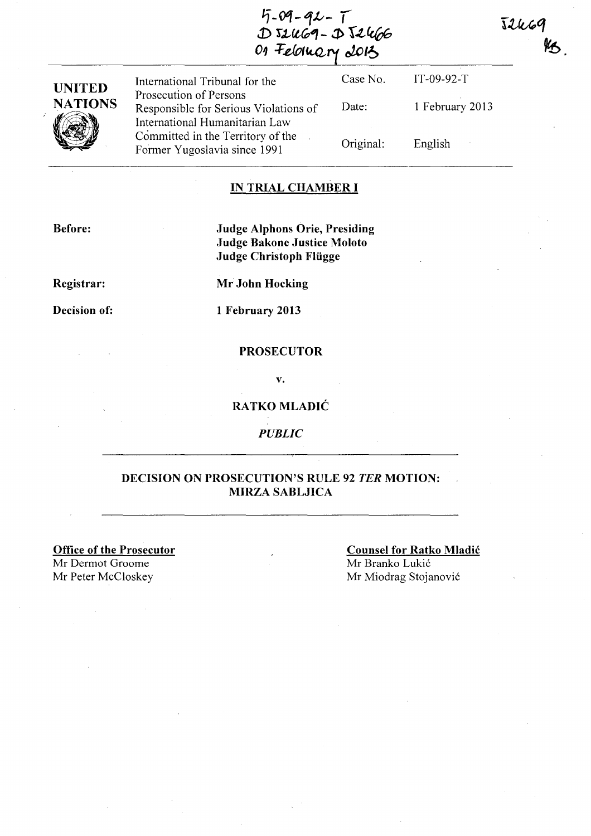$5 - 09 - 92 - 1$ **J) 'fJ,CtC01-:t>** r.L~ **01** *-F.e1r;(k-Q,,,{ 020/6* 

Case No.

Original:

Date:

IT-09-92-T 1 February 2013 English

**IN TRIAL CHAMBER I** 

**Before:** 

**Judge Alphons Orie, Presiding Judge Bakone Justice Moloto Judge Christoph Fliigge** 

**Registrar:** 

**Mr John Hocking** 

International Tribunal for the

Responsible for Serious Violations of International Humanitarian Law Committed in the Territory of the Former Yugoslavia since 1991

Prosecution of Persons

**Decision of:** 

**1 February 2013** 

#### **PROSECUTOR**

**v.** 

### **RA TKO MLADIC**

*PUBLIC* 

### **DECISION ON PROSECUTION'S RULE 92** *TER* **MOTION: MIRZA SABLJICA**

**Office of the Prosecutor**  Mr Dermot Groome<br>Mr Peter McCloskey

**Counsel for Ratko Mladic**  Mr Branko Lukić Mr Miodrag Stojanović

 $52469$ 

 $45$ 

**UNITED NATIONS**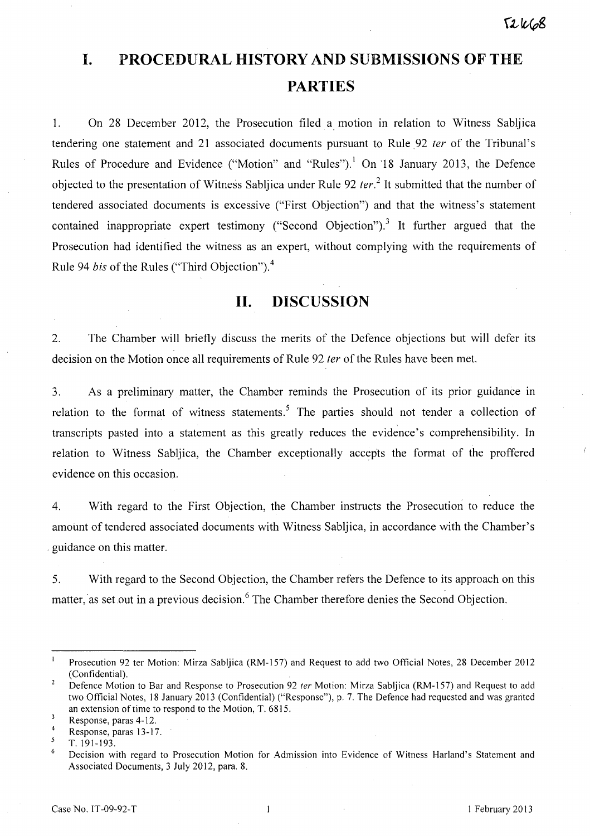# **I. PROCEDURAL HISTORY AND SUBMISSIONS OF THE PARTIES**

1. On 28 December 2012, the Prosecution filed a motion in relation to Witness Sabljica tendering one statement and 21 associated documents pursuant to Rule 92 *ter* of the Tribunal's Rules of Procedure and Evidence ("Motion" and "Rules").<sup>1</sup> On '18 January 2013, the Defence objected to the presentation of Witness Sabljica under Rule 92 ter.<sup>2</sup> It submitted that the number of tendered associated documents is excessive ("First Objection") and that the witness's statement contained inappropriate expert testimony ("Second Objection").<sup>3</sup> It further argued that the Prosecution had identified the witness as an expert, without complying with the requirements of Rule 94 *bis* of the Rules ("Third Objection").<sup>4</sup>

## **II. DISCUSSION**

2. The Chamber will briefly discuss the merits of the Defence objections but will defer its decision on the Motion once all requirements of Rule 92 ter of the Rules have been met.

3. As a preliminary matter, the Chamber reminds the Prosecution of its prior guidance in relation to the format of witness statements.<sup>5</sup> The parties should not tender a collection of transcripts pasted into a statement as this greatly reduces the evidence's comprehensibility. **In**  relation to Witness Sabljica, the Chamber exceptionally accepts the format of the proffered evidence on this occasion.

4. With regard to the First Objection, the Chamber instructs the Prosecution to reduce the amount of tendered associated documents with Witness Sabljica, in accordance with the Chamber's . guidance on this matter.

5. With regard to the Second Objection, the Chamber refers the Defence to its approach on this matter, as set out in a previous decision.<sup>6</sup> The Chamber therefore denies the Second Objection.

 $\mathbf 1$ Prosecution 92 ter Motion: Mirza Sabljica (RM-157) and Request to add two Official Notes, 28 December 2012 (Confidential).

 $\overline{2}$ Defence Motion to Bar and Response to Prosecution 92 ter Motion: Mirza Sabljica (RM-157) and Request to add two Official Notes, 18 January 2013 (Confidential) ("Response"), p. 7. The Defence had requested and was granted an extension of time to respond to the Motion, T. 6815.

 $\overline{\mathbf{3}}$ Response, paras 4-12.  $\overline{4}$ 

Response, paras 13 -17.

<sup>5</sup> T. 191-193.

<sup>6</sup> Decision with regard to Prosecution Motion for Admission into Evidence of Witness Harland's Statement and Associated Documents, 3 July 2012, para. 8.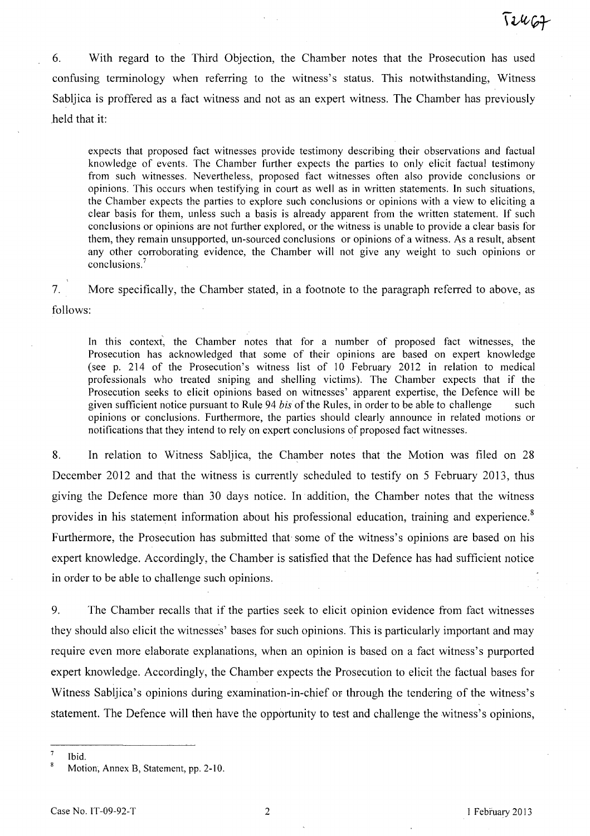6. With regard to the Third Objection, the Chamber notes that the Prosecution has used confusing terminology when referring to the witness's status. This notwithstanding, Witness Sabljica is proffered as a fact witness and not as an expert witness. The Chamber has previously held that it:

expects that proposed fact witnesses provide testimony describing their observations and factual knowledge of events. The Chamber further expects the parties to only elicit factual testimony from such witnesses. Nevertheless, proposed fact witnesses often also provide conclusions or opinions. This occurs when testifying in court as well as in written statements. In such situations, the Chamber expects the parties to explore such conclusions or opinions with a view to eliciting a clear basis for them, unless such a basis is already apparent from the written statement. If such conclusions or opinions are not further explored, or the witness is unable to provide a clear basis for them, they remain unsupported, un-sourced conclusions or opinions of a witness. As a result, absent any other corroborating evidence, the Chamber will not give any weight to such opinions or conclusions.<sup>7</sup>

7. More specifically, the Chamber stated, in a footnote to the paragraph referred to above, as follows:

In this context, the Chamber notes that for a number of proposed fact witnesses, the Prosecution has acknowledged that some of their opinions are based on expert knowledge (see p. 214 of the Prosecution's witness list of 10 February 2012 in relation to medical professionals who treated sniping and shelling victims). The Chamber expects that if the Prosecution seeks to elicit opinions based on witnesses' apparent expertise, the Defence will be given sufficient notice pursuant to Rule 94 *bis* of the Rules, in order to be able to challenge such opinions or conclusions. Furthermore, the parties should clearly announce in related motions or notifications that they intend to rely on expert conclusions of proposed fact witnesses.

8. In relation to Witness Sabljica, the Chamber notes that the Motion was filed on 28 December 2012 and that the witness is currently scheduled to testify on 5 February 2013, thus giving the Defence more than 30 days notice. In addition, the Chamber notes that the witness provides in his statement information about his professional education, training and experience.<sup>8</sup> Furthermore, the Prosecution has submitted that some of the witness's opinions are based on his expert knowledge. Accordingly, the Chamber is satisfied that the Defence has had sufficient notice in order to be able to challenge such opinions.

9. The Chamber recalls that if the parties seek to elicit opinion evidence from fact witnesses they should also elicit the witnesses' bases for such opinions. This is particularly important and may require even more elaborate explanations, when an opinion is based on a fact witness's purported expert knowledge. Accordingly, the Chamber expects the Prosecution to elicit the factual bases for Witness Sabljica's opinions during examination-in-chief or through the tendering of the witness's statement. The Defence will then have the opportunity to test and challenge the witness's opinions,

Ibid.

 $T2467$ 

Motion; Annex B, Statement, pp. 2-10.